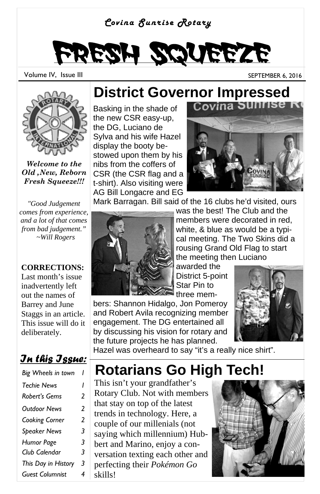#### *Covina Sunrise Rotary*

# Fresh Squeeze

Volume IV, Issue III September 1998 and the SEPTEMBER 6, 2016



*Welcome to the Old ,New, Reborn Fresh Squeeze!!!*

*"Good Judgement comes from experience, and a lot of that comes from bad judgement." ~Will Rogers* 

#### **CORRECTIONS:**

Last month's issue inadvertently left out the names of Barrey and June Staggs in an article. This issue will do it deliberately.

#### *In this Issue:*

| Big Wheels in town     |   |
|------------------------|---|
| <b>Techie News</b>     | ı |
| Robert's Gems          | 2 |
| Outdoor News           | 2 |
| Cooking Corner         | 2 |
| <b>Speaker News</b>    | 3 |
| Humor Page             | 3 |
| Club Calendar          | 3 |
| This Day in History    | 3 |
| <b>Guest Columnist</b> | 4 |

## **District Governor Impressed**<br>Basking in the shade of **Covina Sunrise R**

Basking in the shade of the new CSR easy-up, the DG, Luciano de Sylva and his wife Hazel display the booty bestowed upon them by his nibs from the coffers of CSR (the CSR flag and a t-shirt). Also visiting were AG Bill Longacre and EG



Mark Barragan. Bill said of the 16 clubs he'd visited, ours



was the best! The Club and the members were decorated in red, white, & blue as would be a typical meeting. The Two Skins did a rousing Grand Old Flag to start the meeting then Luciano

awarded the District 5-point Star Pin to three mem-

bers: Shannon Hidalgo, Jon Pomeroy and Robert Avila recognizing member engagement. The DG entertained all by discussing his vision for rotary and the future projects he has planned.



Hazel was overheard to say "it's a really nice shirt".

#### **Rotarians Go High Tech!**

This isn't your grandfather's Rotary Club. Not with members that stay on top of the latest trends in technology. Here, a couple of our millenials (not saying which millennium) Hubbert and Marino, enjoy a conversation texting each other and perfecting their *Pokémon Go*  skills!

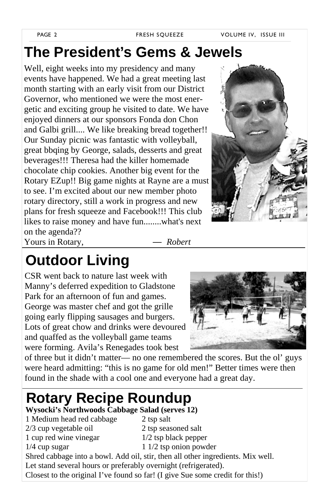### **The President's Gems & Jewels**

Well, eight weeks into my presidency and many events have happened. We had a great meeting last month starting with an early visit from our District Governor, who mentioned we were the most energetic and exciting group he visited to date. We have enjoyed dinners at our sponsors Fonda don Chon and Galbi grill.... We like breaking bread together!! Our Sunday picnic was fantastic with volleyball, great bbqing by George, salads, desserts and great beverages!!! Theresa had the killer homemade chocolate chip cookies. Another big event for the Rotary EZup!! Big game nights at Rayne are a must to see. I'm excited about our new member photo rotary directory, still a work in progress and new plans for fresh squeeze and Facebook!!! This club likes to raise money and have fun........what's next on the agenda??



Yours in Rotary, *— Robert* 

### **Outdoor Living**

CSR went back to nature last week with Manny's deferred expedition to Gladstone Park for an afternoon of fun and games. George was master chef and got the grille going early flipping sausages and burgers. Lots of great chow and drinks were devoured and quaffed as the volleyball game teams were forming. Avila's Renegades took best



of three but it didn't matter— no one remembered the scores. But the ol' guys were heard admitting: "this is no game for old men!" Better times were then found in the shade with a cool one and everyone had a great day.

### **Rotary Recipe Roundup**

#### **Wysocki's Northwoods Cabbage Salad (serves 12)**

- 1 Medium head red cabbage 2 tsp salt
- 2/3 cup vegetable oil 2 tsp seasoned salt
- 1 cup red wine vinegar 1/2 tsp black pepper
- 
- 

- 
- 1/4 cup sugar 1 1/2 tsp onion powder Shred cabbage into a bowl. Add oil, stir, then all other ingredients. Mix well.
- Let stand several hours or preferably overnight (refrigerated).
- Closest to the original I've found so far! (I give Sue some credit for this!)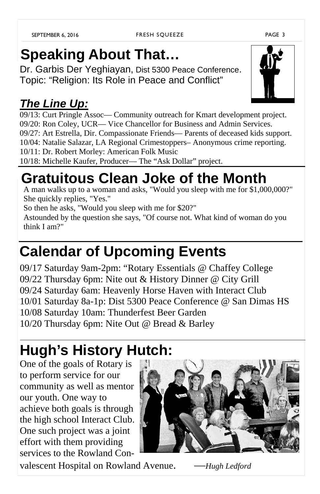## **Speaking About That…**

Dr. Garbis Der Yeghiayan, Dist 5300 Peace Conference. Topic: "Religion: Its Role in Peace and Conflict"

#### *The Line Up:*

09/13: Curt Pringle Assoc— Community outreach for Kmart development project. 09/20: Ron Coley, UCR— Vice Chancellor for Business and Admin Services. 09/27: Art Estrella, Dir. Compassionate Friends— Parents of deceased kids support. 10/04: Natalie Salazar, LA Regional Crimestoppers– Anonymous crime reporting. 10/11: Dr. Robert Morley: American Folk Music 10/18: Michelle Kaufer, Producer— The "Ask Dollar" project.

### **Gratuitous Clean Joke of the Month**

A man walks up to a woman and asks, "Would you sleep with me for \$1,000,000?" She quickly replies, "Yes."

So then he asks, "Would you sleep with me for \$20?"

Astounded by the question she says, "Of course not. What kind of woman do you think I am?"

### **Calendar of Upcoming Events**

09/17 Saturday 9am-2pm: "Rotary Essentials @ Chaffey College 09/22 Thursday 6pm: Nite out & History Dinner @ City Grill 09/24 Saturday 6am: Heavenly Horse Haven with Interact Club 10/01 Saturday 8a-1p: Dist 5300 Peace Conference @ San Dimas HS 10/08 Saturday 10am: Thunderfest Beer Garden 10/20 Thursday 6pm: Nite Out @ Bread & Barley

### **Hugh's History Hutch:**

One of the goals of Rotary is to perform service for our community as well as mentor our youth. One way to achieve both goals is through the high school Interact Club. One such project was a joint effort with them providing services to the Rowland Con-

valescent Hospital on Rowland Avenue. —*Hugh Ledford*